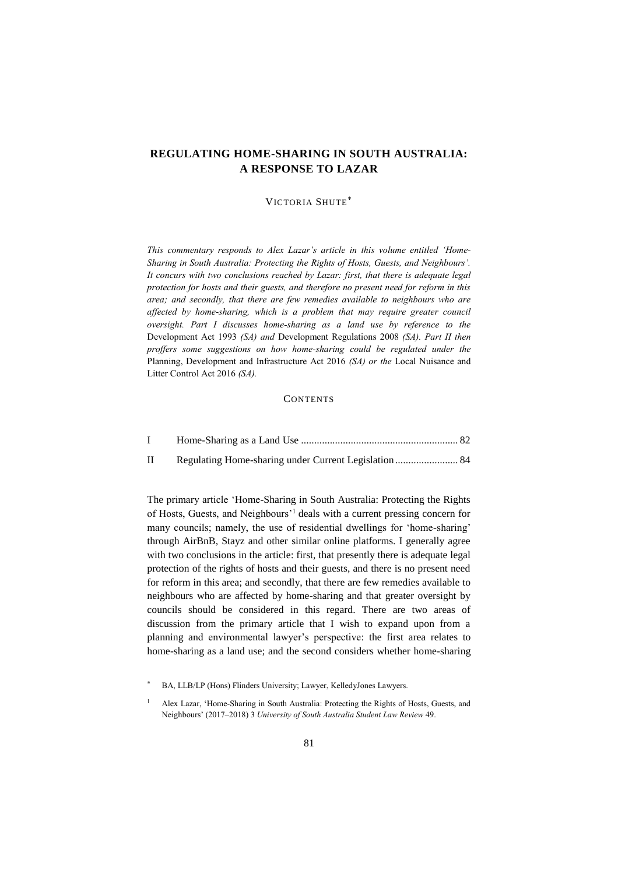# **REGULATING HOME-SHARING IN SOUTH AUSTRALIA: A RESPONSE TO LAZAR**

## VICTORIA SHUTE

*This commentary responds to Alex Lazar's article in this volume entitled 'Home-Sharing in South Australia: Protecting the Rights of Hosts, Guests, and Neighbours'. It concurs with two conclusions reached by Lazar: first, that there is adequate legal protection for hosts and their guests, and therefore no present need for reform in this area; and secondly, that there are few remedies available to neighbours who are affected by home-sharing, which is a problem that may require greater council oversight. Part I discusses home-sharing as a land use by reference to the*  Development Act 1993 *(SA) and* Development Regulations 2008 *(SA). Part II then proffers some suggestions on how home-sharing could be regulated under the*  Planning, Development and Infrastructure Act 2016 *(SA) or the* Local Nuisance and Litter Control Act 2016 *(SA).*

# <span id="page-0-0"></span>**CONTENTS**

| $\mathbf{I}$ |  |
|--------------|--|

The primary article 'Home-Sharing in South Australia: Protecting the Rights of Hosts, Guests, and Neighbours'<sup>1</sup> deals with a current pressing concern for many councils; namely, the use of residential dwellings for 'home-sharing' through AirBnB, Stayz and other similar online platforms. I generally agree with two conclusions in the article: first, that presently there is adequate legal protection of the rights of hosts and their guests, and there is no present need for reform in this area; and secondly, that there are few remedies available to neighbours who are affected by home-sharing and that greater oversight by councils should be considered in this regard. There are two areas of discussion from the primary article that I wish to expand upon from a planning and environmental lawyer's perspective: the first area relates to home-sharing as a land use; and the second considers whether home-sharing

BA, LLB/LP (Hons) Flinders University; Lawyer, KelledyJones Lawyers.

<sup>1</sup> Alex Lazar, 'Home-Sharing in South Australia: Protecting the Rights of Hosts, Guests, and Neighbours' (2017–2018) 3 *University of South Australia Student Law Review* 49.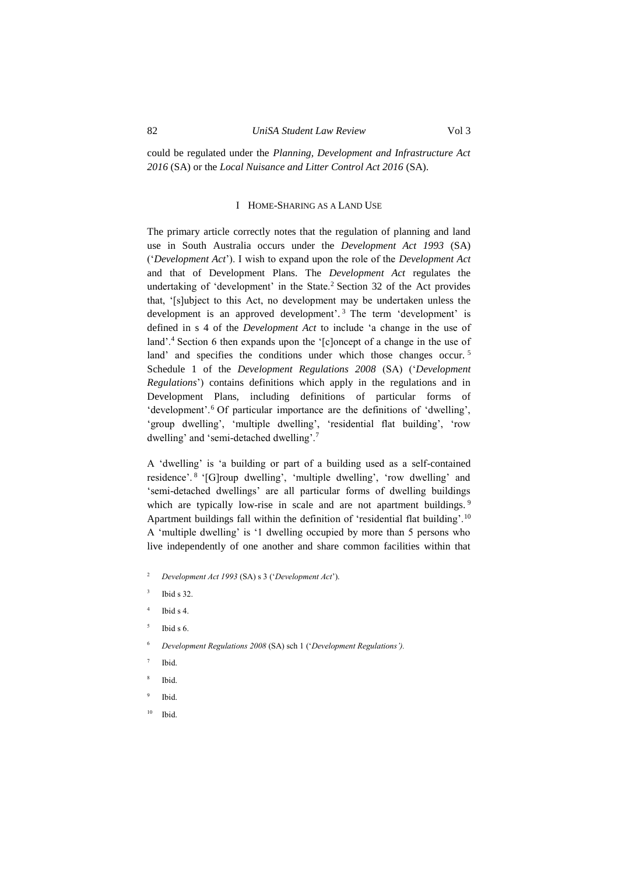could be regulated under the *Planning, Development and Infrastructure Act 2016* (SA) or the *Local Nuisance and Litter Control Act 2016* (SA).

#### I HOME-SHARING AS A LAND USE

<span id="page-1-0"></span>The primary article correctly notes that the regulation of planning and land use in South Australia occurs under the *Development Act 1993* (SA) ('*Development Act*'). I wish to expand upon the role of the *Development Act* and that of Development Plans. The *Development Act* regulates the undertaking of 'development' in the State.<sup>2</sup> Section 32 of the Act provides that, '[s]ubject to this Act, no development may be undertaken unless the development is an approved development'. <sup>3</sup> The term 'development' is defined in s 4 of the *Development Act* to include 'a change in the use of land'.<sup>4</sup> Section 6 then expands upon the '[c]oncept of a change in the use of land' and specifies the conditions under which those changes occur.<sup>5</sup> Schedule 1 of the *Development Regulations 2008* (SA) ('*Development Regulations*') contains definitions which apply in the regulations and in Development Plans, including definitions of particular forms of 'development'.<sup>6</sup> Of particular importance are the definitions of 'dwelling', 'group dwelling', 'multiple dwelling', 'residential flat building', 'row dwelling' and 'semi-detached dwelling'.<sup>7</sup>

A 'dwelling' is 'a building or part of a building used as a self-contained residence'. <sup>8</sup> '[G]roup dwelling', 'multiple dwelling', 'row dwelling' and 'semi-detached dwellings' are all particular forms of dwelling buildings which are typically low-rise in scale and are not apartment buildings.<sup>9</sup> Apartment buildings fall within the definition of 'residential flat building'.<sup>10</sup> A 'multiple dwelling' is '1 dwelling occupied by more than 5 persons who live independently of one another and share common facilities within that

- <sup>2</sup> *Development Act 1993* (SA) s 3 ('*Development Act*').
- 3 Ibid s 32.
- 4 Ibid s 4.
- 5 Ibid s 6.
- <sup>6</sup> *Development Regulations 2008* (SA) sch 1 ('*Development Regulations').*
- 7 Ibid.
- 8 Ibid.
- 9 Ibid.
- <sup>10</sup> Ibid.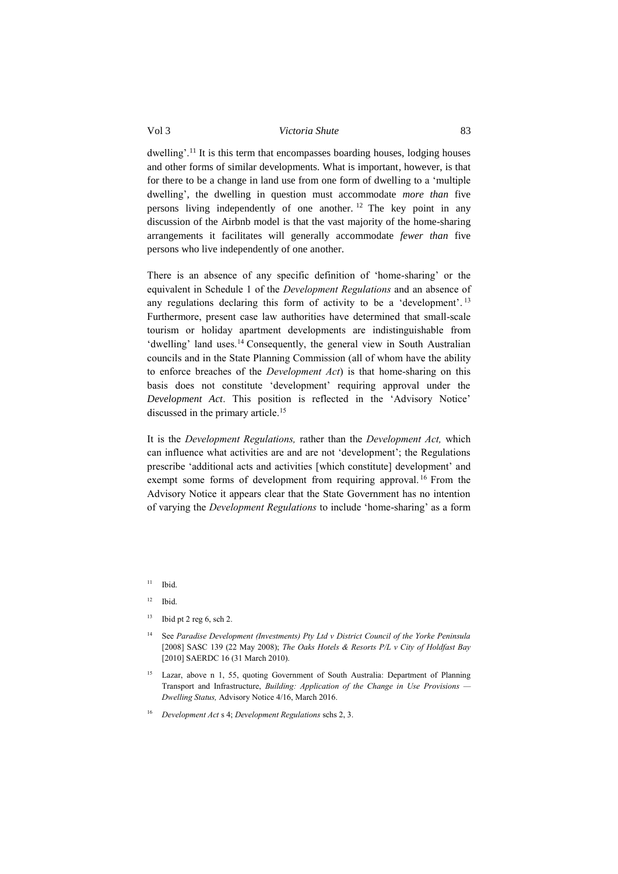## Vol 3 *Victoria Shute* 83

dwelling'.<sup>11</sup> It is this term that encompasses boarding houses, lodging houses and other forms of similar developments. What is important, however, is that for there to be a change in land use from one form of dwelling to a 'multiple dwelling', the dwelling in question must accommodate *more than* five persons living independently of one another. <sup>12</sup> The key point in any discussion of the Airbnb model is that the vast majority of the home-sharing arrangements it facilitates will generally accommodate *fewer than* five persons who live independently of one another.

There is an absence of any specific definition of 'home-sharing' or the equivalent in Schedule 1 of the *Development Regulations* and an absence of any regulations declaring this form of activity to be a 'development'. 13 Furthermore, present case law authorities have determined that small-scale tourism or holiday apartment developments are indistinguishable from 'dwelling' land uses.<sup>14</sup> Consequently, the general view in South Australian councils and in the State Planning Commission (all of whom have the ability to enforce breaches of the *Development Act*) is that home-sharing on this basis does not constitute 'development' requiring approval under the *Development Act*. This position is reflected in the 'Advisory Notice' discussed in the primary article.<sup>15</sup>

It is the *Development Regulations,* rather than the *Development Act,* which can influence what activities are and are not 'development'; the Regulations prescribe 'additional acts and activities [which constitute] development' and exempt some forms of development from requiring approval.<sup>16</sup> From the Advisory Notice it appears clear that the State Government has no intention of varying the *Development Regulations* to include 'home-sharing' as a form

- <sup>12</sup> Ibid.
- $13$  Ibid pt 2 reg 6, sch 2.
- <sup>14</sup> See *Paradise Development (Investments) Pty Ltd v District Council of the Yorke Peninsula*  [2008] SASC 139 (22 May 2008); *The Oaks Hotels & Resorts P/L v City of Holdfast Bay*  [2010] SAERDC 16 (31 March 2010).
- <sup>15</sup> Lazar, above n [1,](#page-0-0) 55, quoting Government of South Australia: Department of Planning Transport and Infrastructure, *Building: Application of the Change in Use Provisions — Dwelling Status,* Advisory Notice 4/16, March 2016.
- <sup>16</sup> *Development Act* s 4; *Development Regulations* schs 2, 3.

 $11$  Ibid.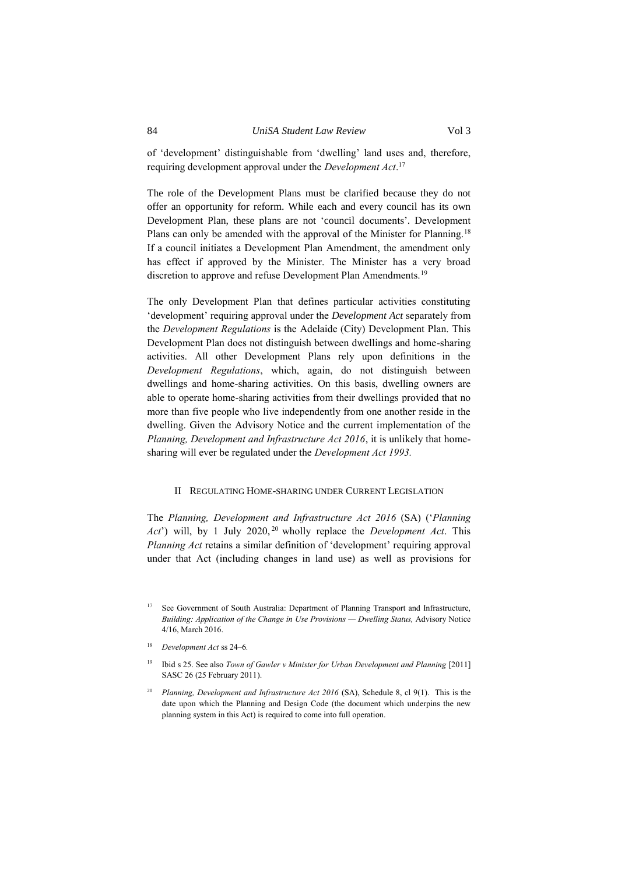of 'development' distinguishable from 'dwelling' land uses and, therefore, requiring development approval under the *Development Act*. 17

The role of the Development Plans must be clarified because they do not offer an opportunity for reform. While each and every council has its own Development Plan, these plans are not 'council documents'. Development Plans can only be amended with the approval of the Minister for Planning.<sup>18</sup> If a council initiates a Development Plan Amendment, the amendment only has effect if approved by the Minister. The Minister has a very broad discretion to approve and refuse Development Plan Amendments.<sup>19</sup>

The only Development Plan that defines particular activities constituting 'development' requiring approval under the *Development Act* separately from the *Development Regulations* is the Adelaide (City) Development Plan. This Development Plan does not distinguish between dwellings and home-sharing activities. All other Development Plans rely upon definitions in the *Development Regulations*, which, again, do not distinguish between dwellings and home-sharing activities. On this basis, dwelling owners are able to operate home-sharing activities from their dwellings provided that no more than five people who live independently from one another reside in the dwelling. Given the Advisory Notice and the current implementation of the *Planning, Development and Infrastructure Act 2016*, it is unlikely that homesharing will ever be regulated under the *Development Act 1993.*

#### <span id="page-3-0"></span>II REGULATING HOME-SHARING UNDER CURRENT LEGISLATION

The *Planning, Development and Infrastructure Act 2016* (SA) ('*Planning Act*') will, by 1 July 2020, <sup>20</sup> wholly replace the *Development Act*. This *Planning Act* retains a similar definition of 'development' requiring approval under that Act (including changes in land use) as well as provisions for

<sup>&</sup>lt;sup>17</sup> See Government of South Australia: Department of Planning Transport and Infrastructure, *Building: Application of the Change in Use Provisions — Dwelling Status,* Advisory Notice 4/16, March 2016.

<sup>18</sup> *Development Act* ss 24–6*.* 

<sup>&</sup>lt;sup>19</sup> Ibid s 25. See also *Town of Gawler v Minister for Urban Development and Planning* [2011] SASC 26 (25 February 2011).

<sup>20</sup> *Planning, Development and Infrastructure Act 2016* (SA), Schedule 8, cl 9(1). This is the date upon which the Planning and Design Code (the document which underpins the new planning system in this Act) is required to come into full operation.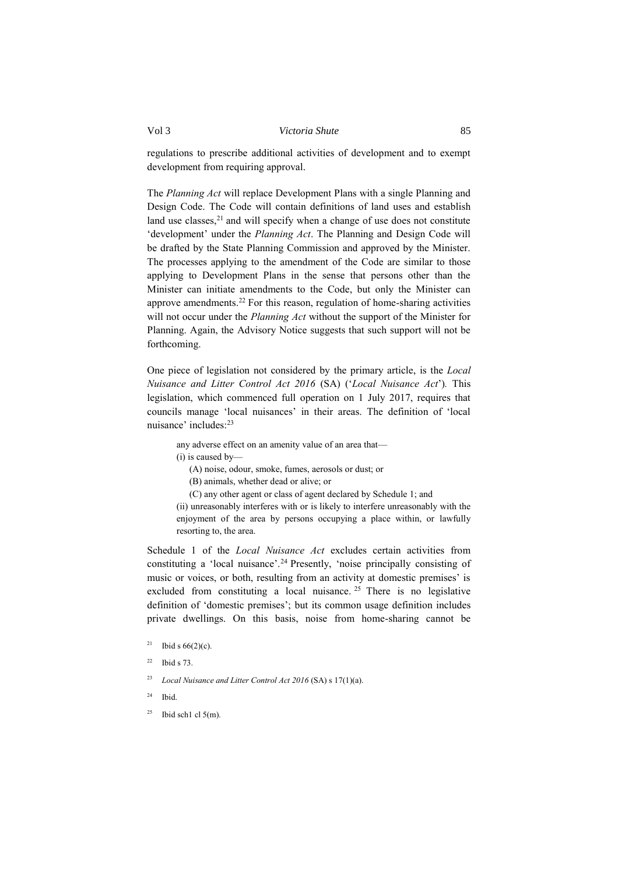## Vol 3 *Victoria Shute* 85

regulations to prescribe additional activities of development and to exempt development from requiring approval.

The *Planning Act* will replace Development Plans with a single Planning and Design Code. The Code will contain definitions of land uses and establish land use classes, $21$  and will specify when a change of use does not constitute 'development' under the *Planning Act*. The Planning and Design Code will be drafted by the State Planning Commission and approved by the Minister. The processes applying to the amendment of the Code are similar to those applying to Development Plans in the sense that persons other than the Minister can initiate amendments to the Code, but only the Minister can approve amendments.<sup>22</sup> For this reason, regulation of home-sharing activities will not occur under the *Planning Act* without the support of the Minister for Planning. Again, the Advisory Notice suggests that such support will not be forthcoming.

One piece of legislation not considered by the primary article, is the *Local Nuisance and Litter Control Act 2016* (SA) ('*Local Nuisance Act*')*.* This legislation, which commenced full operation on 1 July 2017, requires that councils manage 'local nuisances' in their areas. The definition of 'local nuisance' includes:<sup>23</sup>

any adverse effect on an amenity value of an area that—

(i) is caused by—

(A) noise, odour, smoke, fumes, aerosols or dust; or

(B) animals, whether dead or alive; or

(C) any other agent or class of agent declared by Schedule 1; and

(ii) unreasonably interferes with or is likely to interfere unreasonably with the enjoyment of the area by persons occupying a place within, or lawfully resorting to, the area.

Schedule 1 of the *Local Nuisance Act* excludes certain activities from constituting a 'local nuisance'.<sup>24</sup> Presently, 'noise principally consisting of music or voices, or both, resulting from an activity at domestic premises' is excluded from constituting a local nuisance.  $2^5$  There is no legislative definition of 'domestic premises'; but its common usage definition includes private dwellings. On this basis, noise from home-sharing cannot be

- <sup>21</sup> Ibid s  $66(2)(c)$ .
- $22$  Ibid s 73.
- <sup>23</sup> *Local Nuisance and Litter Control Act 2016* (SA) s 17(1)(a).
- $24$  Ibid.
- $25$  Ibid sch1 cl 5(m).